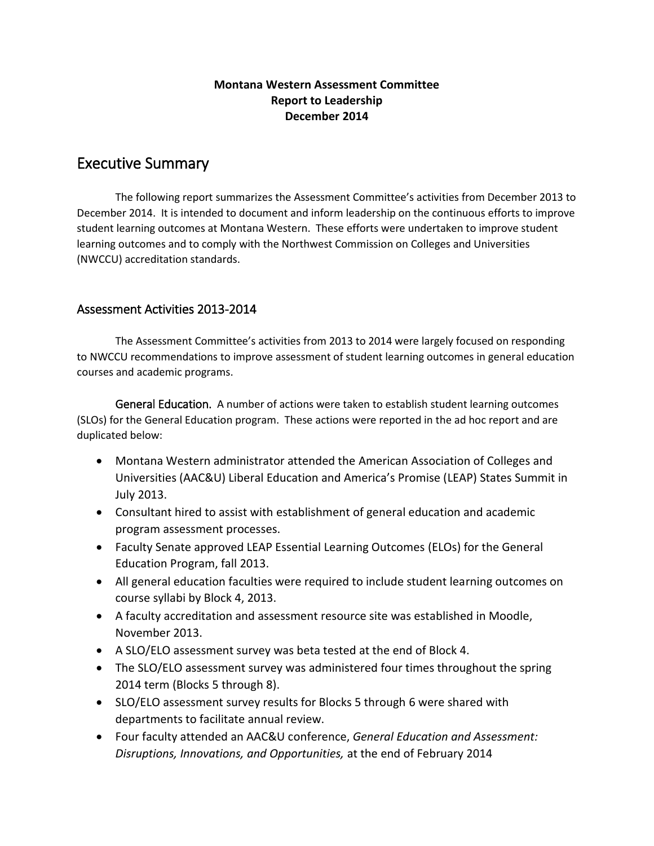### **Montana Western Assessment Committee Report to Leadership December 2014**

# Executive Summary

The following report summarizes the Assessment Committee's activities from December 2013 to December 2014. It is intended to document and inform leadership on the continuous efforts to improve student learning outcomes at Montana Western. These efforts were undertaken to improve student learning outcomes and to comply with the Northwest Commission on Colleges and Universities (NWCCU) accreditation standards.

### Assessment Activities 2013-2014

The Assessment Committee's activities from 2013 to 2014 were largely focused on responding to NWCCU recommendations to improve assessment of student learning outcomes in general education courses and academic programs.

 General Education. A number of actions were taken to establish student learning outcomes (SLOs) for the General Education program. These actions were reported in the ad hoc report and are duplicated below:

- Montana Western administrator attended the American Association of Colleges and Universities (AAC&U) Liberal Education and America's Promise (LEAP) States Summit in July 2013.
- Consultant hired to assist with establishment of general education and academic program assessment processes.
- Faculty Senate approved LEAP Essential Learning Outcomes (ELOs) for the General Education Program, fall 2013.
- All general education faculties were required to include student learning outcomes on course syllabi by Block 4, 2013.
- A faculty accreditation and assessment resource site was established in Moodle, November 2013.
- A SLO/ELO assessment survey was beta tested at the end of Block 4.
- The SLO/ELO assessment survey was administered four times throughout the spring 2014 term (Blocks 5 through 8).
- SLO/ELO assessment survey results for Blocks 5 through 6 were shared with departments to facilitate annual review.
- Four faculty attended an AAC&U conference, *General Education and Assessment: Disruptions, Innovations, and Opportunities,* at the end of February 2014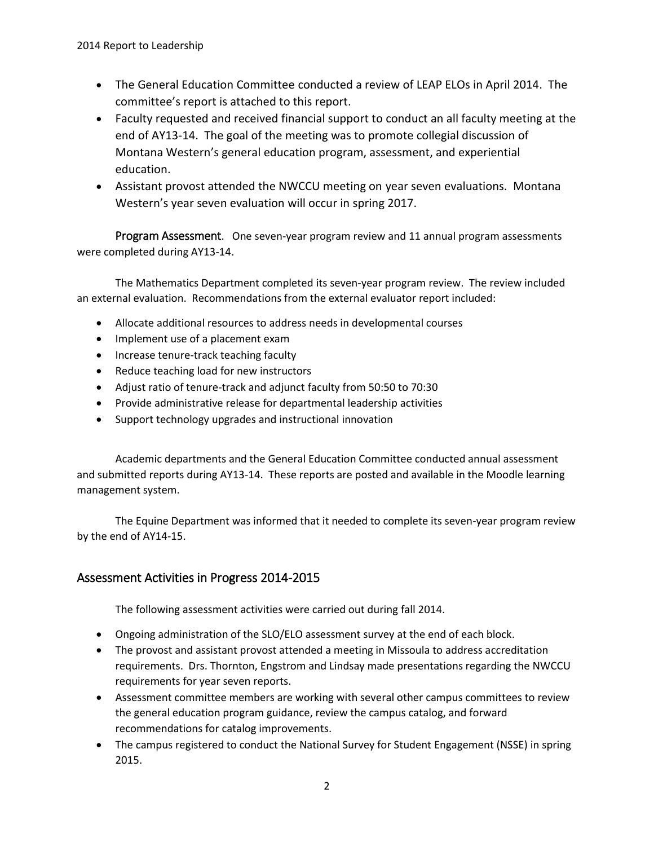- The General Education Committee conducted a review of LEAP ELOs in April 2014. The committee's report is attached to this report.
- Faculty requested and received financial support to conduct an all faculty meeting at the end of AY13-14. The goal of the meeting was to promote collegial discussion of Montana Western's general education program, assessment, and experiential education.
- Assistant provost attended the NWCCU meeting on year seven evaluations. Montana Western's year seven evaluation will occur in spring 2017.

Program Assessment. One seven-year program review and 11 annual program assessments were completed during AY13-14.

The Mathematics Department completed its seven-year program review. The review included an external evaluation. Recommendations from the external evaluator report included:

- Allocate additional resources to address needs in developmental courses
- Implement use of a placement exam
- Increase tenure-track teaching faculty
- Reduce teaching load for new instructors
- Adjust ratio of tenure-track and adjunct faculty from 50:50 to 70:30
- Provide administrative release for departmental leadership activities
- Support technology upgrades and instructional innovation

Academic departments and the General Education Committee conducted annual assessment and submitted reports during AY13-14. These reports are posted and available in the Moodle learning management system.

The Equine Department was informed that it needed to complete its seven-year program review by the end of AY14-15.

### Assessment Activities in Progress 2014-2015

The following assessment activities were carried out during fall 2014.

- Ongoing administration of the SLO/ELO assessment survey at the end of each block.
- The provost and assistant provost attended a meeting in Missoula to address accreditation requirements. Drs. Thornton, Engstrom and Lindsay made presentations regarding the NWCCU requirements for year seven reports.
- Assessment committee members are working with several other campus committees to review the general education program guidance, review the campus catalog, and forward recommendations for catalog improvements.
- The campus registered to conduct the National Survey for Student Engagement (NSSE) in spring 2015.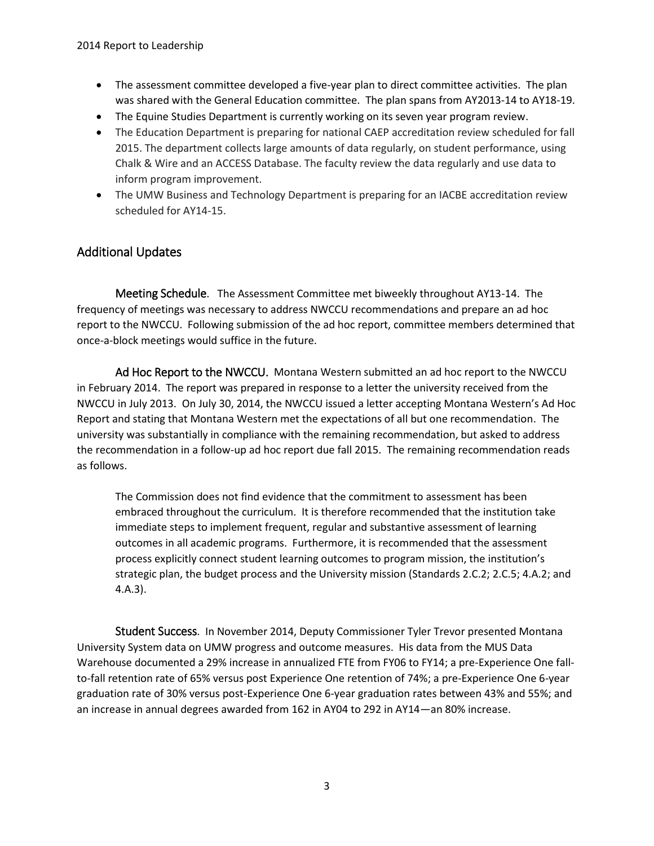- The assessment committee developed a five-year plan to direct committee activities. The plan was shared with the General Education committee. The plan spans from AY2013-14 to AY18-19.
- The Equine Studies Department is currently working on its seven year program review.
- The Education Department is preparing for national CAEP accreditation review scheduled for fall 2015. The department collects large amounts of data regularly, on student performance, using Chalk & Wire and an ACCESS Database. The faculty review the data regularly and use data to inform program improvement.
- The UMW Business and Technology Department is preparing for an IACBE accreditation review scheduled for AY14-15.

## Additional Updates

Meeting Schedule. The Assessment Committee met biweekly throughout AY13-14. The frequency of meetings was necessary to address NWCCU recommendations and prepare an ad hoc report to the NWCCU. Following submission of the ad hoc report, committee members determined that once-a-block meetings would suffice in the future.

Ad Hoc Report to the NWCCU. Montana Western submitted an ad hoc report to the NWCCU in February 2014. The report was prepared in response to a letter the university received from the NWCCU in July 2013. On July 30, 2014, the NWCCU issued a letter accepting Montana Western's Ad Hoc Report and stating that Montana Western met the expectations of all but one recommendation. The university was substantially in compliance with the remaining recommendation, but asked to address the recommendation in a follow-up ad hoc report due fall 2015. The remaining recommendation reads as follows.

The Commission does not find evidence that the commitment to assessment has been embraced throughout the curriculum. It is therefore recommended that the institution take immediate steps to implement frequent, regular and substantive assessment of learning outcomes in all academic programs. Furthermore, it is recommended that the assessment process explicitly connect student learning outcomes to program mission, the institution's strategic plan, the budget process and the University mission (Standards 2.C.2; 2.C.5; 4.A.2; and 4.A.3).

Student Success. In November 2014, Deputy Commissioner Tyler Trevor presented Montana University System data on UMW progress and outcome measures. His data from the MUS Data Warehouse documented a 29% increase in annualized FTE from FY06 to FY14; a pre-Experience One fallto-fall retention rate of 65% versus post Experience One retention of 74%; a pre-Experience One 6-year graduation rate of 30% versus post-Experience One 6-year graduation rates between 43% and 55%; and an increase in annual degrees awarded from 162 in AY04 to 292 in AY14—an 80% increase.